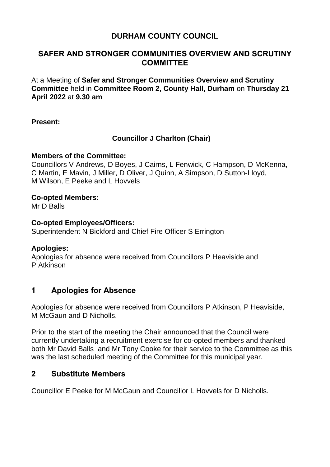## **DURHAM COUNTY COUNCIL**

### **SAFER AND STRONGER COMMUNITIES OVERVIEW AND SCRUTINY COMMITTEE**

At a Meeting of **Safer and Stronger Communities Overview and Scrutiny Committee** held in **Committee Room 2, County Hall, Durham** on **Thursday 21 April 2022** at **9.30 am**

**Present:**

### **Councillor J Charlton (Chair)**

#### **Members of the Committee:**

Councillors V Andrews, D Boyes, J Cairns, L Fenwick, C Hampson, D McKenna, C Martin, E Mavin, J Miller, D Oliver, J Quinn, A Simpson, D Sutton-Lloyd, M Wilson, E Peeke and L Hovvels

#### **Co-opted Members:**

Mr D Balls

#### **Co-opted Employees/Officers:**

Superintendent N Bickford and Chief Fire Officer S Errington

### **Apologies:**

Apologies for absence were received from Councillors P Heaviside and P Atkinson

## **1 Apologies for Absence**

Apologies for absence were received from Councillors P Atkinson, P Heaviside, M McGaun and D Nicholls.

Prior to the start of the meeting the Chair announced that the Council were currently undertaking a recruitment exercise for co-opted members and thanked both Mr David Balls and Mr Tony Cooke for their service to the Committee as this was the last scheduled meeting of the Committee for this municipal year.

## **2 Substitute Members**

Councillor E Peeke for M McGaun and Councillor L Hovvels for D Nicholls.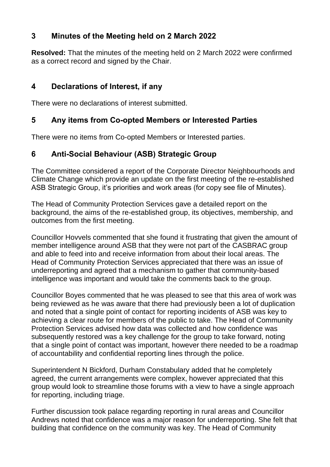## **3 Minutes of the Meeting held on 2 March 2022**

**Resolved:** That the minutes of the meeting held on 2 March 2022 were confirmed as a correct record and signed by the Chair.

## **4 Declarations of Interest, if any**

There were no declarations of interest submitted.

## **5 Any items from Co-opted Members or Interested Parties**

There were no items from Co-opted Members or Interested parties.

# **6 Anti-Social Behaviour (ASB) Strategic Group**

The Committee considered a report of the Corporate Director Neighbourhoods and Climate Change which provide an update on the first meeting of the re-established ASB Strategic Group, it's priorities and work areas (for copy see file of Minutes).

The Head of Community Protection Services gave a detailed report on the background, the aims of the re-established group, its objectives, membership, and outcomes from the first meeting.

Councillor Hovvels commented that she found it frustrating that given the amount of member intelligence around ASB that they were not part of the CASBRAC group and able to feed into and receive information from about their local areas. The Head of Community Protection Services appreciated that there was an issue of underreporting and agreed that a mechanism to gather that community-based intelligence was important and would take the comments back to the group.

Councillor Boyes commented that he was pleased to see that this area of work was being reviewed as he was aware that there had previously been a lot of duplication and noted that a single point of contact for reporting incidents of ASB was key to achieving a clear route for members of the public to take. The Head of Community Protection Services advised how data was collected and how confidence was subsequently restored was a key challenge for the group to take forward, noting that a single point of contact was important, however there needed to be a roadmap of accountability and confidential reporting lines through the police.

Superintendent N Bickford, Durham Constabulary added that he completely agreed, the current arrangements were complex, however appreciated that this group would look to streamline those forums with a view to have a single approach for reporting, including triage.

Further discussion took palace regarding reporting in rural areas and Councillor Andrews noted that confidence was a major reason for underreporting. She felt that building that confidence on the community was key. The Head of Community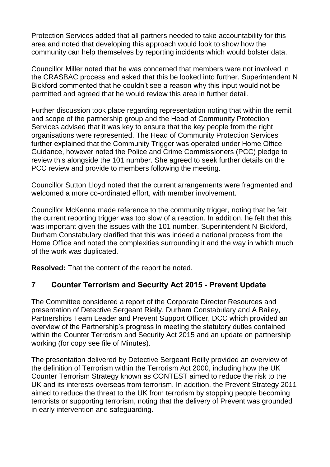Protection Services added that all partners needed to take accountability for this area and noted that developing this approach would look to show how the community can help themselves by reporting incidents which would bolster data.

Councillor Miller noted that he was concerned that members were not involved in the CRASBAC process and asked that this be looked into further. Superintendent N Bickford commented that he couldn't see a reason why this input would not be permitted and agreed that he would review this area in further detail.

Further discussion took place regarding representation noting that within the remit and scope of the partnership group and the Head of Community Protection Services advised that it was key to ensure that the key people from the right organisations were represented. The Head of Community Protection Services further explained that the Community Trigger was operated under Home Office Guidance, however noted the Police and Crime Commissioners (PCC) pledge to review this alongside the 101 number. She agreed to seek further details on the PCC review and provide to members following the meeting.

Councillor Sutton Lloyd noted that the current arrangements were fragmented and welcomed a more co-ordinated effort, with member involvement.

Councillor McKenna made reference to the community trigger, noting that he felt the current reporting trigger was too slow of a reaction. In addition, he felt that this was important given the issues with the 101 number. Superintendent N Bickford, Durham Constabulary clarified that this was indeed a national process from the Home Office and noted the complexities surrounding it and the way in which much of the work was duplicated.

**Resolved:** That the content of the report be noted.

## **7 Counter Terrorism and Security Act 2015 - Prevent Update**

The Committee considered a report of the Corporate Director Resources and presentation of Detective Sergeant Rielly, Durham Constabulary and A Bailey, Partnerships Team Leader and Prevent Support Officer, DCC which provided an overview of the Partnership's progress in meeting the statutory duties contained within the Counter Terrorism and Security Act 2015 and an update on partnership working (for copy see file of Minutes).

The presentation delivered by Detective Sergeant Reilly provided an overview of the definition of Terrorism within the Terrorism Act 2000, including how the UK Counter Terrorism Strategy known as CONTEST aimed to reduce the risk to the UK and its interests overseas from terrorism. In addition, the Prevent Strategy 2011 aimed to reduce the threat to the UK from terrorism by stopping people becoming terrorists or supporting terrorism, noting that the delivery of Prevent was grounded in early intervention and safeguarding.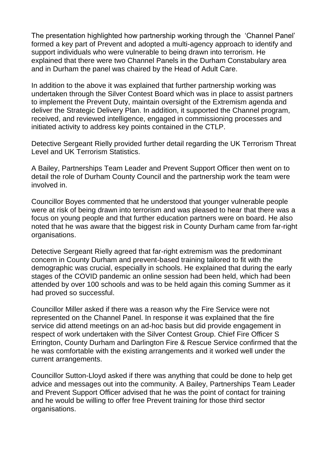The presentation highlighted how partnership working through the 'Channel Panel' formed a key part of Prevent and adopted a multi-agency approach to identify and support individuals who were vulnerable to being drawn into terrorism. He explained that there were two Channel Panels in the Durham Constabulary area and in Durham the panel was chaired by the Head of Adult Care.

In addition to the above it was explained that further partnership working was undertaken through the Silver Contest Board which was in place to assist partners to implement the Prevent Duty, maintain oversight of the Extremism agenda and deliver the Strategic Delivery Plan. In addition, it supported the Channel program, received, and reviewed intelligence, engaged in commissioning processes and initiated activity to address key points contained in the CTLP.

Detective Sergeant Rielly provided further detail regarding the UK Terrorism Threat Level and UK Terrorism Statistics.

A Bailey, Partnerships Team Leader and Prevent Support Officer then went on to detail the role of Durham County Council and the partnership work the team were involved in.

Councillor Boyes commented that he understood that younger vulnerable people were at risk of being drawn into terrorism and was pleased to hear that there was a focus on young people and that further education partners were on board. He also noted that he was aware that the biggest risk in County Durham came from far-right organisations.

Detective Sergeant Rielly agreed that far-right extremism was the predominant concern in County Durham and prevent-based training tailored to fit with the demographic was crucial, especially in schools. He explained that during the early stages of the COVID pandemic an online session had been held, which had been attended by over 100 schools and was to be held again this coming Summer as it had proved so successful.

Councillor Miller asked if there was a reason why the Fire Service were not represented on the Channel Panel. In response it was explained that the fire service did attend meetings on an ad-hoc basis but did provide engagement in respect of work undertaken with the Silver Contest Group. Chief Fire Officer S Errington, County Durham and Darlington Fire & Rescue Service confirmed that the he was comfortable with the existing arrangements and it worked well under the current arrangements.

Councillor Sutton-Lloyd asked if there was anything that could be done to help get advice and messages out into the community. A Bailey, Partnerships Team Leader and Prevent Support Officer advised that he was the point of contact for training and he would be willing to offer free Prevent training for those third sector organisations.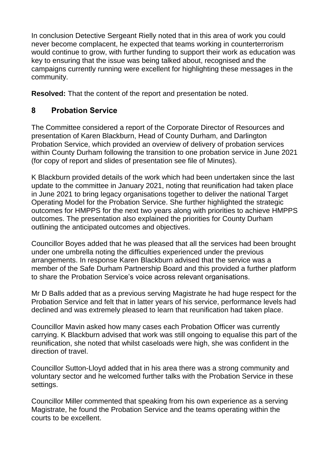In conclusion Detective Sergeant Rielly noted that in this area of work you could never become complacent, he expected that teams working in counterterrorism would continue to grow, with further funding to support their work as education was key to ensuring that the issue was being talked about, recognised and the campaigns currently running were excellent for highlighting these messages in the community.

**Resolved:** That the content of the report and presentation be noted.

# **8 Probation Service**

The Committee considered a report of the Corporate Director of Resources and presentation of Karen Blackburn, Head of County Durham, and Darlington Probation Service, which provided an overview of delivery of probation services within County Durham following the transition to one probation service in June 2021 (for copy of report and slides of presentation see file of Minutes).

K Blackburn provided details of the work which had been undertaken since the last update to the committee in January 2021, noting that reunification had taken place in June 2021 to bring legacy organisations together to deliver the national Target Operating Model for the Probation Service. She further highlighted the strategic outcomes for HMPPS for the next two years along with priorities to achieve HMPPS outcomes. The presentation also explained the priorities for County Durham outlining the anticipated outcomes and objectives.

Councillor Boyes added that he was pleased that all the services had been brought under one umbrella noting the difficulties experienced under the previous arrangements. In response Karen Blackburn advised that the service was a member of the Safe Durham Partnership Board and this provided a further platform to share the Probation Service's voice across relevant organisations.

Mr D Balls added that as a previous serving Magistrate he had huge respect for the Probation Service and felt that in latter years of his service, performance levels had declined and was extremely pleased to learn that reunification had taken place.

Councillor Mavin asked how many cases each Probation Officer was currently carrying. K Blackburn advised that work was still ongoing to equalise this part of the reunification, she noted that whilst caseloads were high, she was confident in the direction of travel.

Councillor Sutton-Lloyd added that in his area there was a strong community and voluntary sector and he welcomed further talks with the Probation Service in these settings.

Councillor Miller commented that speaking from his own experience as a serving Magistrate, he found the Probation Service and the teams operating within the courts to be excellent.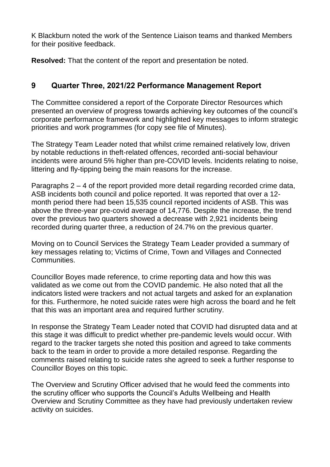K Blackburn noted the work of the Sentence Liaison teams and thanked Members for their positive feedback.

**Resolved:** That the content of the report and presentation be noted.

## **9 Quarter Three, 2021/22 Performance Management Report**

The Committee considered a report of the Corporate Director Resources which presented an overview of progress towards achieving key outcomes of the council's corporate performance framework and highlighted key messages to inform strategic priorities and work programmes (for copy see file of Minutes).

The Strategy Team Leader noted that whilst crime remained relatively low, driven by notable reductions in theft-related offences, recorded anti-social behaviour incidents were around 5% higher than pre-COVID levels. Incidents relating to noise, littering and fly-tipping being the main reasons for the increase.

Paragraphs 2 – 4 of the report provided more detail regarding recorded crime data, ASB incidents both council and police reported. It was reported that over a 12 month period there had been 15,535 council reported incidents of ASB. This was above the three-year pre-covid average of 14,776. Despite the increase, the trend over the previous two quarters showed a decrease with 2,921 incidents being recorded during quarter three, a reduction of 24.7% on the previous quarter.

Moving on to Council Services the Strategy Team Leader provided a summary of key messages relating to; Victims of Crime, Town and Villages and Connected Communities.

Councillor Boyes made reference, to crime reporting data and how this was validated as we come out from the COVID pandemic. He also noted that all the indicators listed were trackers and not actual targets and asked for an explanation for this. Furthermore, he noted suicide rates were high across the board and he felt that this was an important area and required further scrutiny.

In response the Strategy Team Leader noted that COVID had disrupted data and at this stage it was difficult to predict whether pre-pandemic levels would occur. With regard to the tracker targets she noted this position and agreed to take comments back to the team in order to provide a more detailed response. Regarding the comments raised relating to suicide rates she agreed to seek a further response to Councillor Boyes on this topic.

The Overview and Scrutiny Officer advised that he would feed the comments into the scrutiny officer who supports the Council's Adults Wellbeing and Health Overview and Scrutiny Committee as they have had previously undertaken review activity on suicides.